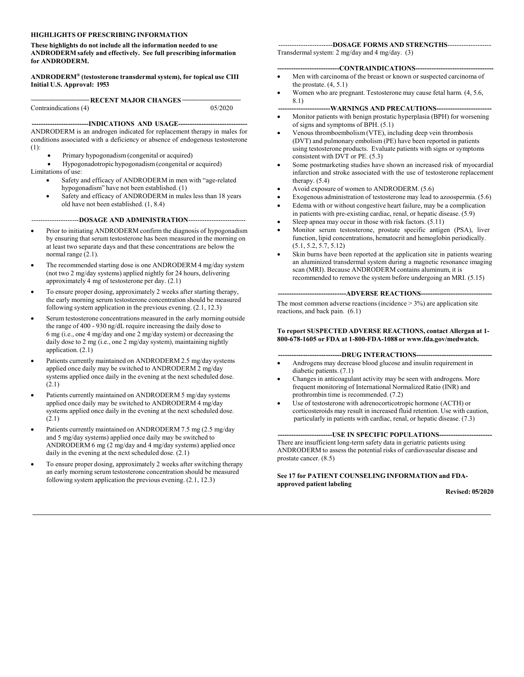#### **HIGHLIGHTS OF PRESCRIBING INFORMATION**

**These highlights do not include all the information needed to use ANDRODERM safely and effectively. See full prescribing information for ANDRODERM.**

**ANDRODERM® (testosterone transdermal system), for topical use CIII Initial U.S. Approval: 1953**

-RECENT MAJOR CHANGES-Contraindications (4) 05/2020

---INDICATIONS AND USAGE------ANDRODERM is an androgen indicated for replacement therapy in males for conditions associated with a deficiency or absence of endogenous testosterone (1):

- Primary hypogonadism (congenital or acquired)
- Hypogonadotropic hypogonadism (congenital or acquired) Limitations of use:
	- Safety and efficacy of ANDRODERM in men with "age-related hypogonadism" have not been established. (1)
	- Safety and efficacy of ANDRODERM in males less than 18 years old have not been established. (1, 8.4)

---------------------**DOSAGE AND ADMINISTRATION**-------------------------

- Prior to initiating ANDRODERM confirm the diagnosis of hypogonadism by ensuring that serum testosterone has been measured in the morning on at least two separate days and that these concentrations are below the normal range (2.1).
- The recommended starting dose is one ANDRODERM 4 mg/day system (not two 2 mg/day systems) applied nightly for 24 hours, delivering approximately 4 mg of testosterone per day. (2.1)
- To ensure proper dosing, approximately 2 weeks after starting therapy, the early morning serum testosterone concentration should be measured following system application in the previous evening. (2.1, 12.3)
- Serum testosterone concentrations measured in the early morning outside the range of 400 - 930 ng/dL require increasing the daily dose to 6 mg (i.e., one 4 mg/day and one 2 mg/day system) or decreasing the daily dose to 2 mg (i.e., one 2 mg/day system), maintaining nightly application. (2.1)
- Patients currently maintained on ANDRODERM 2.5 mg/day systems applied once daily may be switched to ANDRODERM 2 mg/day systems applied once daily in the evening at the next scheduled dose.  $(2.1)$
- Patients currently maintained on ANDRODERM 5 mg/day systems applied once daily may be switched to ANDRODERM 4 mg/day systems applied once daily in the evening at the next scheduled dose. (2.1)
- Patients currently maintained on ANDRODERM 7.5 mg (2.5 mg/day and 5 mg/day systems) applied once daily may be switched to ANDRODERM 6 mg (2 mg/day and 4 mg/day systems) applied once daily in the evening at the next scheduled dose. (2.1)
- To ensure proper dosing, approximately 2 weeks after switching therapy an early morning serum testosterone concentration should be measured following system application the previous evening. (2.1, 12.3)

------------------------**DOSAGE FORMS AND STRENGTHS**------------------- Transdermal system: 2 mg/day and 4 mg/day. (3)

#### **---------------------------CONTRAINDICATIONS----------------------------------**

- Men with carcinoma of the breast or known or suspected carcinoma of the prostate.  $(4, 5.1)$
- Women who are pregnant. Testosterone may cause fetal harm. (4, 5.6, 8.1)

#### -WARNINGS AND PRECAUTIONS--

- Monitor patients with benign prostatic hyperplasia (BPH) for worsening of signs and symptoms of BPH. (5.1)
- Venous thromboembolism (VTE), including deep vein thrombosis (DVT) and pulmonary embolism (PE) have been reported in patients using testosterone products. Evaluate patients with signs or symptoms consistent with DVT or PE. (5.3)
- Some postmarketing studies have shown an increased risk of myocardial infarction and stroke associated with the use of testosterone replacement therapy. (5.4)
- Avoid exposure of women to ANDRODERM. (5.6)
- Exogenous administration of testosterone may lead to azoospermia. (5.6)
- Edema with or without congestive heart failure, may be a complication
- in patients with pre-existing cardiac, renal, or hepatic disease. (5.9) Sleep apnea may occur in those with risk factors. (5.11)
- 
- Monitor serum testosterone, prostate specific antigen (PSA), liver function, lipid concentrations, hematocrit and hemoglobin periodically. (5.1, 5.2, 5.7, 5.12)
- Skin burns have been reported at the application site in patients wearing an aluminized transdermal system during a magnetic resonance imaging scan (MRI). Because ANDRODERM contains aluminum, it is recommended to remove the system before undergoing an MRI. (5.15)

**------------------------------ADVERSE REACTIONS-------------------------------**

The most common adverse reactions (incidence  $> 3\%$ ) are application site reactions, and back pain. (6.1)

#### **To report SUSPECTED ADVERSE REACTIONS, contact Allergan at 1- 800-678-1605 or FDA at 1-800-FDA-1088 or www.fda.gov/medwatch.**

#### --DRUG INTERACTIONS---

- Androgens may decrease blood glucose and insulin requirement in diabetic patients. (7.1)
- Changes in anticoagulant activity may be seen with androgens. More frequent monitoring of International Normalized Ratio (INR) and prothrombin time is recommended. (7.2)
- Use of testosterone with adrenocorticotropic hormone (ACTH) or corticosteroids may result in increased fluid retention. Use with caution, particularly in patients with cardiac, renal, or hepatic disease. (7.3)

#### ----USE IN SPECIFIC POPULATIONS----

There are insufficient long-term safety data in geriatric patients using ANDRODERM to assess the potential risks of cardiovascular disease and prostate cancer. (8.5)

#### **See 17 for PATIENT COUNSELING INFORMATION and FDAapproved patient labeling**

**Revised: 05/2020**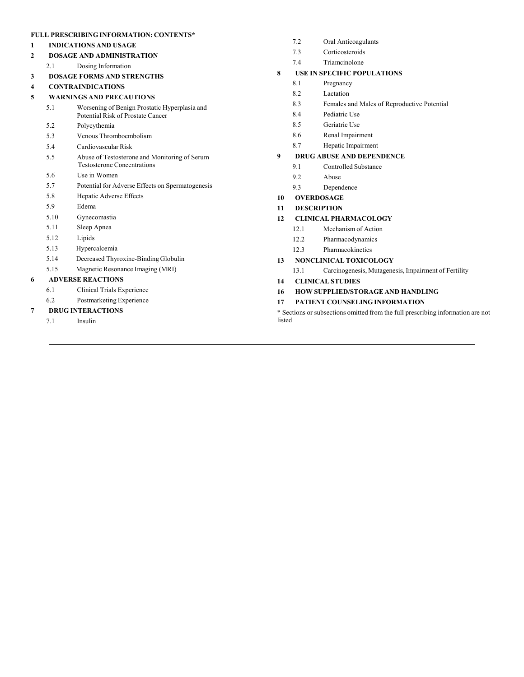#### **FULL PRESCRIBING INFORMATION: CONTENTS\***

- **1 INDICATIONS AND USAGE**
- **2 DOSAGE AND ADMINISTRATION**
- 2.1 Dosing Information
- **3 DOSAGE FORMS AND STRENGTHS**
- **4 CONTRAINDICATIONS**

#### **5 WARNINGS AND PRECAUTIONS**

- 5.1 Worsening of Benign Prostatic Hyperplasia and Potential Risk of Prostate Cancer
- 5.2 Polycythemia
- 5.3 Venous Thromboembolism
- 5.4 Cardiovascular Risk
- 5.5 Abuse of Testosterone and Monitoring of Serum Testosterone Concentrations
- 5.6 Use in Women
- 5.7 Potential for Adverse Effects on Spermatogenesis
- 5.8 Hepatic Adverse Effects
- 5.9 Edema
- 5.10 Gynecomastia
- 5.11 Sleep Apnea
- 5.12 Lipids
- 5.13 Hypercalcemia
- 5.14 Decreased Thyroxine-Binding Globulin
- 5.15 Magnetic Resonance Imaging (MRI)

#### **6 ADVERSE REACTIONS**

- 6.1 Clinical Trials Experience
- 6.2 Postmarketing Experience

#### **7 DRUG INTERACTIONS**

7.1 Insulin

- 7.2 Oral Anticoagulants
- 7.3 Corticosteroids
- 7.4 Triamcinolone

#### **8 USE IN SPECIFIC POPULATIONS**

- 8.1 Pregnancy
- 8.2 Lactation
- 8.3 Females and Males of Reproductive Potential
- 8.4 Pediatric Use
- 8.5 Geriatric Use
- 8.6 Renal Impairment
- 8.7 Hepatic Impairment

#### **9 DRUG ABUSE AND DEPENDENCE**

- 9.1 Controlled Substance
- 9.2 Abuse
- 9.3 Dependence
- **10 OVERDOSAGE**
- **11 DESCRIPTION**

#### **12 CLINICAL PHARMACOLOGY**

- 12.1 Mechanism of Action
- 12.2 Pharmacodynamics
- 12.3 Pharmacokinetics

#### **13 NONCLINICAL TOXICOLOGY**

- 13.1 Carcinogenesis, Mutagenesis, Impairment of Fertility
- **14 CLINICAL STUDIES**

#### **16 HOW SUPPLIED/STORAGE AND HANDLING**

#### **17 PATIENT COUNSELING INFORMATION**

\* Sections or subsections omitted from the full prescribing information are not listed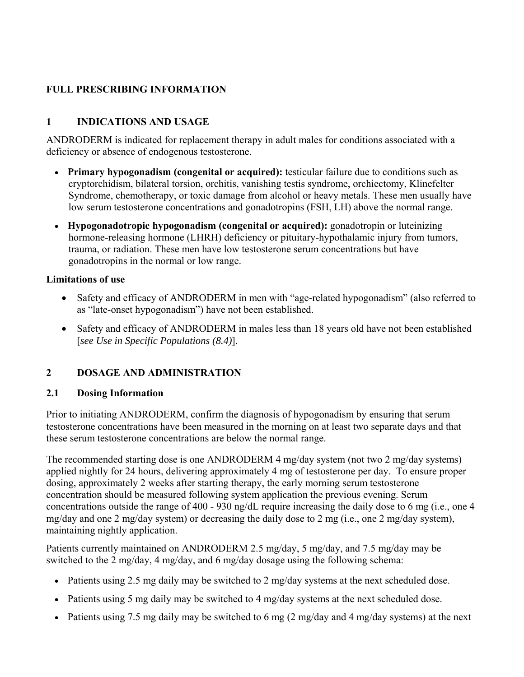## **FULL PRESCRIBING INFORMATION**

## **1 INDICATIONS AND USAGE**

ANDRODERM is indicated for replacement therapy in adult males for conditions associated with a deficiency or absence of endogenous testosterone.

- **Primary hypogonadism (congenital or acquired):** testicular failure due to conditions such as cryptorchidism, bilateral torsion, orchitis, vanishing testis syndrome, orchiectomy, Klinefelter Syndrome, chemotherapy, or toxic damage from alcohol or heavy metals. These men usually have low serum testosterone concentrations and gonadotropins (FSH, LH) above the normal range.
- **Hypogonadotropic hypogonadism (congenital or acquired):** gonadotropin or luteinizing hormone-releasing hormone (LHRH) deficiency or pituitary-hypothalamic injury from tumors, trauma, or radiation. These men have low testosterone serum concentrations but have gonadotropins in the normal or low range.

### **Limitations of use**

- Safety and efficacy of ANDRODERM in men with "age-related hypogonadism" (also referred to as "late-onset hypogonadism") have not been established.
- Safety and efficacy of ANDRODERM in males less than 18 years old have not been established [*see Use in Specific Populations (8.4)*].

### **2 DOSAGE AND ADMINISTRATION**

### **2.1 Dosing Information**

Prior to initiating ANDRODERM, confirm the diagnosis of hypogonadism by ensuring that serum testosterone concentrations have been measured in the morning on at least two separate days and that these serum testosterone concentrations are below the normal range.

The recommended starting dose is one ANDRODERM 4 mg/day system (not two 2 mg/day systems) applied nightly for 24 hours, delivering approximately 4 mg of testosterone per day. To ensure proper dosing, approximately 2 weeks after starting therapy, the early morning serum testosterone concentration should be measured following system application the previous evening. Serum concentrations outside the range of 400 - 930 ng/dL require increasing the daily dose to 6 mg (i.e., one 4 mg/day and one 2 mg/day system) or decreasing the daily dose to 2 mg (i.e., one 2 mg/day system), maintaining nightly application.

Patients currently maintained on ANDRODERM 2.5 mg/day, 5 mg/day, and 7.5 mg/day may be switched to the 2 mg/day, 4 mg/day, and 6 mg/day dosage using the following schema:

- $\bullet$  Patients using 2.5 mg daily may be switched to 2 mg/day systems at the next scheduled dose.
- Patients using 5 mg daily may be switched to 4 mg/day systems at the next scheduled dose.
- Patients using 7.5 mg daily may be switched to 6 mg  $(2 \text{ mg/day and } 4 \text{ mg/day systems})$  at the next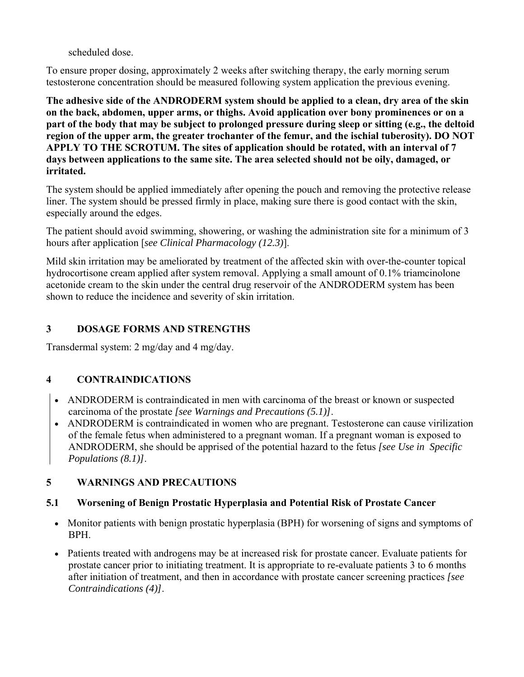scheduled dose.

To ensure proper dosing, approximately 2 weeks after switching therapy, the early morning serum testosterone concentration should be measured following system application the previous evening.

**The adhesive side of the ANDRODERM system should be applied to a clean, dry area of the skin on the back, abdomen, upper arms, or thighs. Avoid application over bony prominences or on a part of the body that may be subject to prolonged pressure during sleep or sitting (e.g., the deltoid region of the upper arm, the greater trochanter of the femur, and the ischial tuberosity). DO NOT APPLY TO THE SCROTUM. The sites of application should be rotated, with an interval of 7 days between applications to the same site. The area selected should not be oily, damaged, or irritated.**

The system should be applied immediately after opening the pouch and removing the protective release liner. The system should be pressed firmly in place, making sure there is good contact with the skin, especially around the edges.

The patient should avoid swimming, showering, or washing the administration site for a minimum of 3 hours after application [*see Clinical Pharmacology (12.3)*].

Mild skin irritation may be ameliorated by treatment of the affected skin with over-the-counter topical hydrocortisone cream applied after system removal. Applying a small amount of 0.1% triamcinolone acetonide cream to the skin under the central drug reservoir of the ANDRODERM system has been shown to reduce the incidence and severity of skin irritation.

## **3 DOSAGE FORMS AND STRENGTHS**

Transdermal system: 2 mg/day and 4 mg/day.

## **4 CONTRAINDICATIONS**

- ANDRODERM is contraindicated in men with carcinoma of the breast or known or suspected carcinoma of the prostate *[see Warnings and Precautions (5.1)]*.
- ANDRODERM is contraindicated in women who are pregnant. Testosterone can cause virilization of the female fetus when administered to a pregnant woman. If a pregnant woman is exposed to ANDRODERM, she should be apprised of the potential hazard to the fetus *[see Use in Specific Populations (8.1)]*.

### **5 WARNINGS AND PRECAUTIONS**

### **5.1 Worsening of Benign Prostatic Hyperplasia and Potential Risk of Prostate Cancer**

- Monitor patients with benign prostatic hyperplasia (BPH) for worsening of signs and symptoms of BPH.
- Patients treated with androgens may be at increased risk for prostate cancer. Evaluate patients for prostate cancer prior to initiating treatment. It is appropriate to re-evaluate patients 3 to 6 months after initiation of treatment, and then in accordance with prostate cancer screening practices *[see Contraindications (4)]*.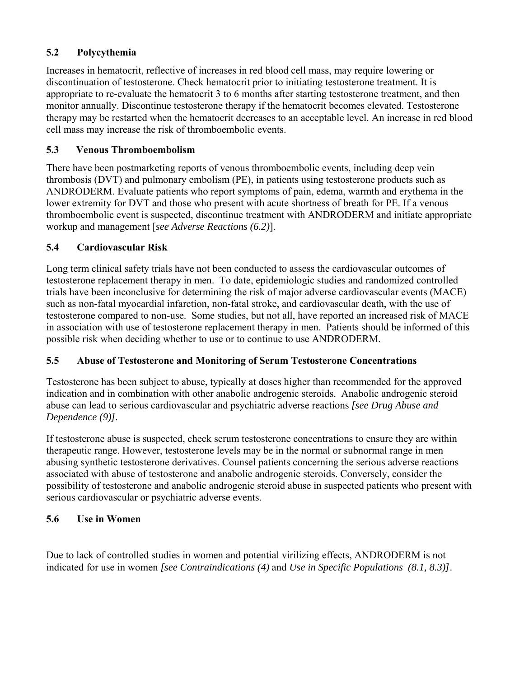## **5.2 Polycythemia**

Increases in hematocrit, reflective of increases in red blood cell mass, may require lowering or discontinuation of testosterone. Check hematocrit prior to initiating testosterone treatment. It is appropriate to re-evaluate the hematocrit 3 to 6 months after starting testosterone treatment, and then monitor annually. Discontinue testosterone therapy if the hematocrit becomes elevated. Testosterone therapy may be restarted when the hematocrit decreases to an acceptable level. An increase in red blood cell mass may increase the risk of thromboembolic events.

## **5.3 Venous Thromboembolism**

There have been postmarketing reports of venous thromboembolic events, including deep vein thrombosis (DVT) and pulmonary embolism (PE), in patients using testosterone products such as ANDRODERM. Evaluate patients who report symptoms of pain, edema, warmth and erythema in the lower extremity for DVT and those who present with acute shortness of breath for PE. If a venous thromboembolic event is suspected, discontinue treatment with ANDRODERM and initiate appropriate workup and management [*see Adverse Reactions (6.2)*].

## **5.4 Cardiovascular Risk**

Long term clinical safety trials have not been conducted to assess the cardiovascular outcomes of testosterone replacement therapy in men. To date, epidemiologic studies and randomized controlled trials have been inconclusive for determining the risk of major adverse cardiovascular events (MACE) such as non-fatal myocardial infarction, non-fatal stroke, and cardiovascular death, with the use of testosterone compared to non-use. Some studies, but not all, have reported an increased risk of MACE in association with use of testosterone replacement therapy in men. Patients should be informed of this possible risk when deciding whether to use or to continue to use ANDRODERM.

## **5.5 Abuse of Testosterone and Monitoring of Serum Testosterone Concentrations**

Testosterone has been subject to abuse, typically at doses higher than recommended for the approved indication and in combination with other anabolic androgenic steroids. Anabolic androgenic steroid abuse can lead to serious cardiovascular and psychiatric adverse reactions *[see Drug Abuse and Dependence (9)].*

If testosterone abuse is suspected, check serum testosterone concentrations to ensure they are within therapeutic range. However, testosterone levels may be in the normal or subnormal range in men abusing synthetic testosterone derivatives. Counsel patients concerning the serious adverse reactions associated with abuse of testosterone and anabolic androgenic steroids. Conversely, consider the possibility of testosterone and anabolic androgenic steroid abuse in suspected patients who present with serious cardiovascular or psychiatric adverse events.

## **5.6 Use in Women**

Due to lack of controlled studies in women and potential virilizing effects, ANDRODERM is not indicated for use in women *[see Contraindications (4)* and *Use in Specific Populations (8.1, 8.3)]*.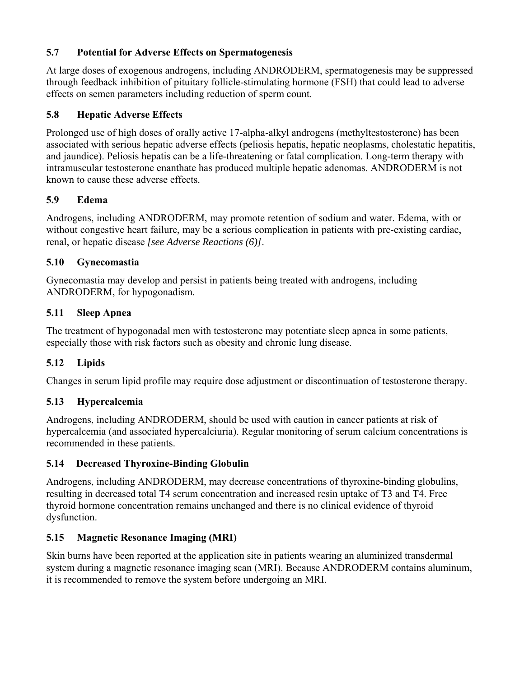## **5.7 Potential for Adverse Effects on Spermatogenesis**

At large doses of exogenous androgens, including ANDRODERM, spermatogenesis may be suppressed through feedback inhibition of pituitary follicle-stimulating hormone (FSH) that could lead to adverse effects on semen parameters including reduction of sperm count.

## **5.8 Hepatic Adverse Effects**

Prolonged use of high doses of orally active 17-alpha-alkyl androgens (methyltestosterone) has been associated with serious hepatic adverse effects (peliosis hepatis, hepatic neoplasms, cholestatic hepatitis, and jaundice). Peliosis hepatis can be a life-threatening or fatal complication. Long-term therapy with intramuscular testosterone enanthate has produced multiple hepatic adenomas. ANDRODERM is not known to cause these adverse effects.

## **5.9 Edema**

Androgens, including ANDRODERM, may promote retention of sodium and water. Edema, with or without congestive heart failure, may be a serious complication in patients with pre-existing cardiac, renal, or hepatic disease *[see Adverse Reactions (6)]*.

## **5.10 Gynecomastia**

Gynecomastia may develop and persist in patients being treated with androgens, including ANDRODERM, for hypogonadism.

### **5.11 Sleep Apnea**

The treatment of hypogonadal men with testosterone may potentiate sleep apnea in some patients, especially those with risk factors such as obesity and chronic lung disease.

## **5.12 Lipids**

Changes in serum lipid profile may require dose adjustment or discontinuation of testosterone therapy.

## **5.13 Hypercalcemia**

Androgens, including ANDRODERM, should be used with caution in cancer patients at risk of hypercalcemia (and associated hypercalciuria). Regular monitoring of serum calcium concentrations is recommended in these patients.

### **5.14 Decreased Thyroxine-Binding Globulin**

Androgens, including ANDRODERM, may decrease concentrations of thyroxine-binding globulins, resulting in decreased total T4 serum concentration and increased resin uptake of T3 and T4. Free thyroid hormone concentration remains unchanged and there is no clinical evidence of thyroid dysfunction.

### **5.15 Magnetic Resonance Imaging (MRI)**

Skin burns have been reported at the application site in patients wearing an aluminized transdermal system during a magnetic resonance imaging scan (MRI). Because ANDRODERM contains aluminum, it is recommended to remove the system before undergoing an MRI.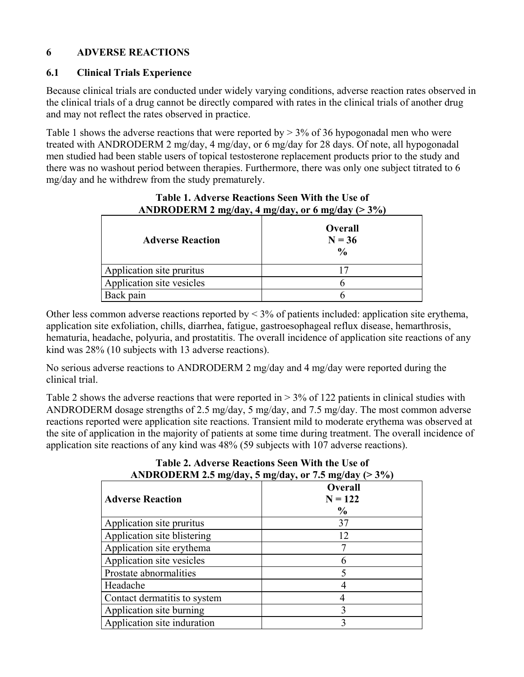## **6 ADVERSE REACTIONS**

### **6.1 Clinical Trials Experience**

Because clinical trials are conducted under widely varying conditions, adverse reaction rates observed in the clinical trials of a drug cannot be directly compared with rates in the clinical trials of another drug and may not reflect the rates observed in practice.

Table 1 shows the adverse reactions that were reported by  $> 3\%$  of 36 hypogonadal men who were treated with ANDRODERM 2 mg/day, 4 mg/day, or 6 mg/day for 28 days. Of note, all hypogonadal men studied had been stable users of topical testosterone replacement products prior to the study and there was no washout period between therapies. Furthermore, there was only one subject titrated to 6 mg/day and he withdrew from the study prematurely.

| $\mathbf{m}$ and $\mathbf{m}$ and $\mathbf{m}$ and $\mathbf{m}$ and $\mathbf{m}$ and $\mathbf{m}$ and $\mathbf{m}$<br>. |                                      |
|-------------------------------------------------------------------------------------------------------------------------|--------------------------------------|
| <b>Adverse Reaction</b>                                                                                                 | Overall<br>$N = 36$<br>$\frac{0}{0}$ |
| Application site pruritus                                                                                               |                                      |
| Application site vesicles                                                                                               |                                      |
| Back pain                                                                                                               |                                      |

## **Table 1. Adverse Reactions Seen With the Use of ANDRODERM 2 mg/day, 4 mg/day, or 6 mg/day (> 3%)**

Other less common adverse reactions reported by  $\leq$  3% of patients included: application site erythema, application site exfoliation, chills, diarrhea, fatigue, gastroesophageal reflux disease, hemarthrosis, hematuria, headache, polyuria, and prostatitis. The overall incidence of application site reactions of any kind was 28% (10 subjects with 13 adverse reactions).

No serious adverse reactions to ANDRODERM 2 mg/day and 4 mg/day were reported during the clinical trial.

Table 2 shows the adverse reactions that were reported in > 3% of 122 patients in clinical studies with ANDRODERM dosage strengths of 2.5 mg/day, 5 mg/day, and 7.5 mg/day. The most common adverse reactions reported were application site reactions. Transient mild to moderate erythema was observed at the site of application in the majority of patients at some time during treatment. The overall incidence of application site reactions of any kind was 48% (59 subjects with 107 adverse reactions).

| -<br><b>Adverse Reaction</b> | <b>Overall</b><br>$N = 122$<br>$\frac{0}{0}$ |
|------------------------------|----------------------------------------------|
| Application site pruritus    | 37                                           |
| Application site blistering  | 12                                           |
| Application site erythema    |                                              |
| Application site vesicles    | 6                                            |
| Prostate abnormalities       |                                              |
| Headache                     |                                              |
| Contact dermatitis to system |                                              |
| Application site burning     |                                              |
| Application site induration  |                                              |

**Table 2. Adverse Reactions Seen With the Use of ANDRODERM 2.5 mg/day, 5 mg/day, or 7.5 mg/day (> 3%)**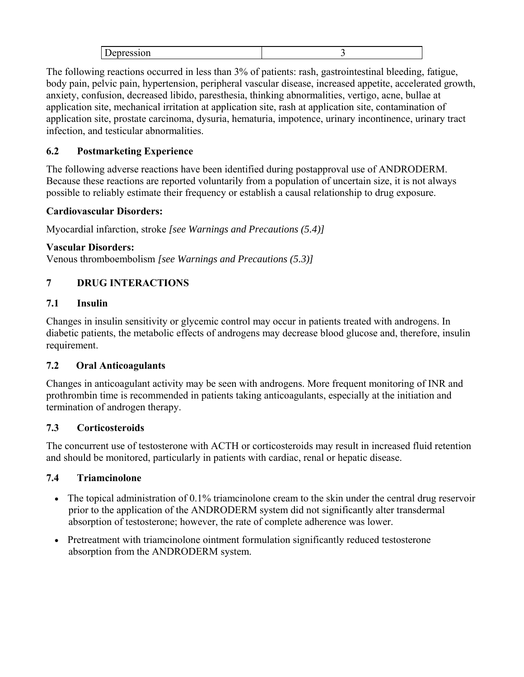The following reactions occurred in less than 3% of patients: rash, gastrointestinal bleeding, fatigue, body pain, pelvic pain, hypertension, peripheral vascular disease, increased appetite, accelerated growth, anxiety, confusion, decreased libido, paresthesia, thinking abnormalities, vertigo, acne, bullae at application site, mechanical irritation at application site, rash at application site, contamination of application site, prostate carcinoma, dysuria, hematuria, impotence, urinary incontinence, urinary tract infection, and testicular abnormalities.

## **6.2 Postmarketing Experience**

The following adverse reactions have been identified during postapproval use of ANDRODERM. Because these reactions are reported voluntarily from a population of uncertain size, it is not always possible to reliably estimate their frequency or establish a causal relationship to drug exposure.

#### **Cardiovascular Disorders:**

Myocardial infarction, stroke *[see Warnings and Precautions (5.4)]*

#### **Vascular Disorders:**

Venous thromboembolism *[see Warnings and Precautions (5.3)]*

## **7 DRUG INTERACTIONS**

### **7.1 Insulin**

Changes in insulin sensitivity or glycemic control may occur in patients treated with androgens. In diabetic patients, the metabolic effects of androgens may decrease blood glucose and, therefore, insulin requirement.

### **7.2 Oral Anticoagulants**

Changes in anticoagulant activity may be seen with androgens. More frequent monitoring of INR and prothrombin time is recommended in patients taking anticoagulants, especially at the initiation and termination of androgen therapy.

### **7.3 Corticosteroids**

The concurrent use of testosterone with ACTH or corticosteroids may result in increased fluid retention and should be monitored, particularly in patients with cardiac, renal or hepatic disease.

### **7.4 Triamcinolone**

- The topical administration of 0.1% triamcinolone cream to the skin under the central drug reservoir prior to the application of the ANDRODERM system did not significantly alter transdermal absorption of testosterone; however, the rate of complete adherence was lower.
- Pretreatment with triamcinolone ointment formulation significantly reduced testosterone absorption from the ANDRODERM system.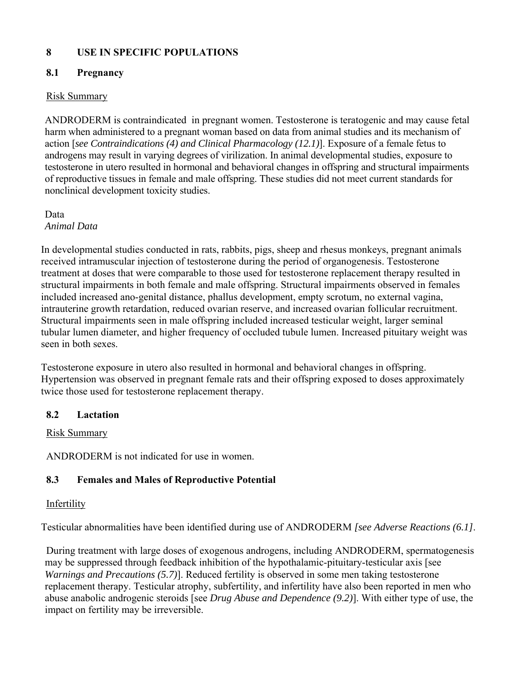## **8 USE IN SPECIFIC POPULATIONS**

### **8.1 Pregnancy**

### Risk Summary

ANDRODERM is contraindicated in pregnant women. Testosterone is teratogenic and may cause fetal harm when administered to a pregnant woman based on data from animal studies and its mechanism of action [*see Contraindications (4) and Clinical Pharmacology (12.1)*]. Exposure of a female fetus to androgens may result in varying degrees of virilization. In animal developmental studies, exposure to testosterone in utero resulted in hormonal and behavioral changes in offspring and structural impairments of reproductive tissues in female and male offspring. These studies did not meet current standards for nonclinical development toxicity studies.

Data *Animal Data* 

In developmental studies conducted in rats, rabbits, pigs, sheep and rhesus monkeys, pregnant animals received intramuscular injection of testosterone during the period of organogenesis. Testosterone treatment at doses that were comparable to those used for testosterone replacement therapy resulted in structural impairments in both female and male offspring. Structural impairments observed in females included increased ano-genital distance, phallus development, empty scrotum, no external vagina, intrauterine growth retardation, reduced ovarian reserve, and increased ovarian follicular recruitment. Structural impairments seen in male offspring included increased testicular weight, larger seminal tubular lumen diameter, and higher frequency of occluded tubule lumen. Increased pituitary weight was seen in both sexes.

Testosterone exposure in utero also resulted in hormonal and behavioral changes in offspring. Hypertension was observed in pregnant female rats and their offspring exposed to doses approximately twice those used for testosterone replacement therapy.

### **8.2 Lactation**

### Risk Summary

ANDRODERM is not indicated for use in women.

## **8.3 Females and Males of Reproductive Potential**

### **Infertility**

Testicular abnormalities have been identified during use of ANDRODERM *[see Adverse Reactions (6.1]*.

 During treatment with large doses of exogenous androgens, including ANDRODERM, spermatogenesis may be suppressed through feedback inhibition of the hypothalamic-pituitary-testicular axis [see *Warnings and Precautions (5.7)*]. Reduced fertility is observed in some men taking testosterone replacement therapy. Testicular atrophy, subfertility, and infertility have also been reported in men who abuse anabolic androgenic steroids [see *Drug Abuse and Dependence (9.2)*]. With either type of use, the impact on fertility may be irreversible.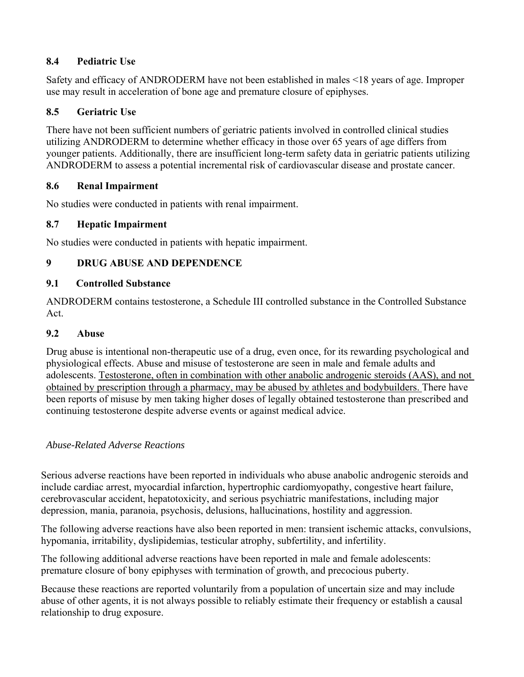## **8.4 Pediatric Use**

Safety and efficacy of ANDRODERM have not been established in males <18 years of age. Improper use may result in acceleration of bone age and premature closure of epiphyses.

## **8.5 Geriatric Use**

There have not been sufficient numbers of geriatric patients involved in controlled clinical studies utilizing ANDRODERM to determine whether efficacy in those over 65 years of age differs from younger patients. Additionally, there are insufficient long-term safety data in geriatric patients utilizing ANDRODERM to assess a potential incremental risk of cardiovascular disease and prostate cancer.

### **8.6 Renal Impairment**

No studies were conducted in patients with renal impairment.

## **8.7 Hepatic Impairment**

No studies were conducted in patients with hepatic impairment.

## **9 DRUG ABUSE AND DEPENDENCE**

### **9.1 Controlled Substance**

ANDRODERM contains testosterone, a Schedule III controlled substance in the Controlled Substance Act.

### **9.2 Abuse**

Drug abuse is intentional non-therapeutic use of a drug, even once, for its rewarding psychological and physiological effects. Abuse and misuse of testosterone are seen in male and female adults and adolescents. Testosterone, often in combination with other anabolic androgenic steroids (AAS), and not obtained by prescription through a pharmacy, may be abused by athletes and bodybuilders. There have been reports of misuse by men taking higher doses of legally obtained testosterone than prescribed and continuing testosterone despite adverse events or against medical advice.

### *Abuse-Related Adverse Reactions*

Serious adverse reactions have been reported in individuals who abuse anabolic androgenic steroids and include cardiac arrest, myocardial infarction, hypertrophic cardiomyopathy, congestive heart failure, cerebrovascular accident, hepatotoxicity, and serious psychiatric manifestations, including major depression, mania, paranoia, psychosis, delusions, hallucinations, hostility and aggression.

The following adverse reactions have also been reported in men: transient ischemic attacks, convulsions, hypomania, irritability, dyslipidemias, testicular atrophy, subfertility, and infertility.

The following additional adverse reactions have been reported in male and female adolescents: premature closure of bony epiphyses with termination of growth, and precocious puberty.

Because these reactions are reported voluntarily from a population of uncertain size and may include abuse of other agents, it is not always possible to reliably estimate their frequency or establish a causal relationship to drug exposure.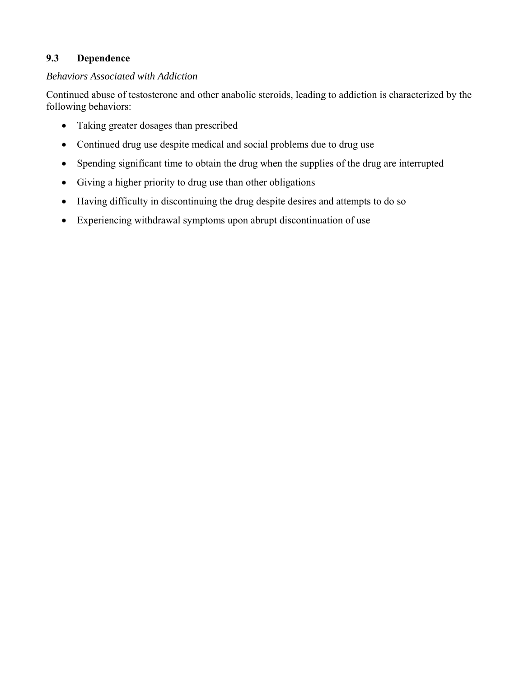## **9.3 Dependence**

#### *Behaviors Associated with Addiction*

Continued abuse of testosterone and other anabolic steroids, leading to addiction is characterized by the following behaviors:

- Taking greater dosages than prescribed
- Continued drug use despite medical and social problems due to drug use
- Spending significant time to obtain the drug when the supplies of the drug are interrupted
- Giving a higher priority to drug use than other obligations
- Having difficulty in discontinuing the drug despite desires and attempts to do so
- Experiencing withdrawal symptoms upon abrupt discontinuation of use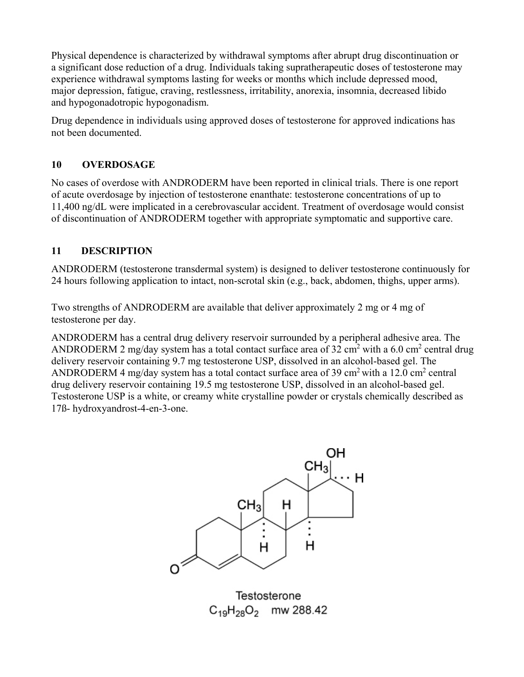Physical dependence is characterized by withdrawal symptoms after abrupt drug discontinuation or a significant dose reduction of a drug. Individuals taking supratherapeutic doses of testosterone may experience withdrawal symptoms lasting for weeks or months which include depressed mood, major depression, fatigue, craving, restlessness, irritability, anorexia, insomnia, decreased libido and hypogonadotropic hypogonadism.

Drug dependence in individuals using approved doses of testosterone for approved indications has not been documented.

## **10 OVERDOSAGE**

No cases of overdose with ANDRODERM have been reported in clinical trials. There is one report of acute overdosage by injection of testosterone enanthate: testosterone concentrations of up to 11,400 ng/dL were implicated in a cerebrovascular accident. Treatment of overdosage would consist of discontinuation of ANDRODERM together with appropriate symptomatic and supportive care.

## **11 DESCRIPTION**

ANDRODERM (testosterone transdermal system) is designed to deliver testosterone continuously for 24 hours following application to intact, non-scrotal skin (e.g., back, abdomen, thighs, upper arms).

Two strengths of ANDRODERM are available that deliver approximately 2 mg or 4 mg of testosterone per day.

ANDRODERM has a central drug delivery reservoir surrounded by a peripheral adhesive area. The ANDRODERM 2 mg/day system has a total contact surface area of 32 cm<sup>2</sup> with a 6.0 cm<sup>2</sup> central drug delivery reservoir containing 9.7 mg testosterone USP, dissolved in an alcohol-based gel. The ANDRODERM 4 mg/day system has a total contact surface area of 39 cm<sup>2</sup> with a 12.0 cm<sup>2</sup> central drug delivery reservoir containing 19.5 mg testosterone USP, dissolved in an alcohol-based gel. Testosterone USP is a white, or creamy white crystalline powder or crystals chemically described as 17ß- hydroxyandrost-4-en-3-one.



Testosterone  $C_{19}H_{28}O_2$  mw 288.42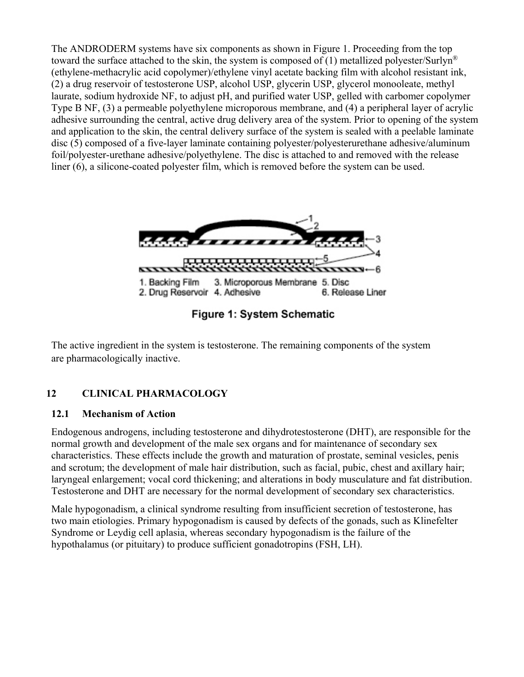The ANDRODERM systems have six components as shown in Figure 1. Proceeding from the top toward the surface attached to the skin, the system is composed of (1) metallized polyester/Surlyn<sup>®</sup> (ethylene-methacrylic acid copolymer)/ethylene vinyl acetate backing film with alcohol resistant ink, (2) a drug reservoir of testosterone USP, alcohol USP, glycerin USP, glycerol monooleate, methyl laurate, sodium hydroxide NF, to adjust pH, and purified water USP, gelled with carbomer copolymer Type B NF, (3) a permeable polyethylene microporous membrane, and (4) a peripheral layer of acrylic adhesive surrounding the central, active drug delivery area of the system. Prior to opening of the system and application to the skin, the central delivery surface of the system is sealed with a peelable laminate disc (5) composed of a five-layer laminate containing polyester/polyesterurethane adhesive/aluminum foil/polyester-urethane adhesive/polyethylene. The disc is attached to and removed with the release liner (6), a silicone-coated polyester film, which is removed before the system can be used.



Figure 1: System Schematic

 The active ingredient in the system is testosterone. The remaining components of the system are pharmacologically inactive.

# **12 CLINICAL PHARMACOLOGY**

### **12.1 Mechanism of Action**

Endogenous androgens, including testosterone and dihydrotestosterone (DHT), are responsible for the normal growth and development of the male sex organs and for maintenance of secondary sex characteristics. These effects include the growth and maturation of prostate, seminal vesicles, penis and scrotum; the development of male hair distribution, such as facial, pubic, chest and axillary hair; laryngeal enlargement; vocal cord thickening; and alterations in body musculature and fat distribution. Testosterone and DHT are necessary for the normal development of secondary sex characteristics.

Male hypogonadism, a clinical syndrome resulting from insufficient secretion of testosterone, has two main etiologies. Primary hypogonadism is caused by defects of the gonads, such as Klinefelter Syndrome or Leydig cell aplasia, whereas secondary hypogonadism is the failure of the hypothalamus (or pituitary) to produce sufficient gonadotropins (FSH, LH).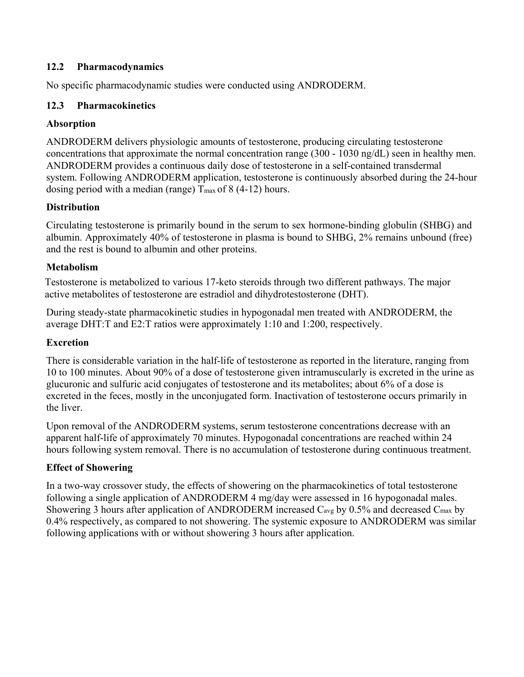### **12.2 Pharmacodynamics**

No specific pharmacodynamic studies were conducted using ANDRODERM.

#### **12.3 Pharmacokinetics**

#### **Absorption**

ANDRODERM delivers physiologic amounts of testosterone, producing circulating testosterone concentrations that approximate the normal concentration range (300 - 1030 ng/dL) seen in healthy men. ANDRODERM provides a continuous daily dose of testosterone in a self-contained transdermal system. Following ANDRODERM application, testosterone is continuously absorbed during the 24-hour dosing period with a median (range)  $T_{\text{max}}$  of 8 (4-12) hours.

#### **Distribution**

Circulating testosterone is primarily bound in the serum to sex hormone-binding globulin (SHBG) and albumin. Approximately 40% of testosterone in plasma is bound to SHBG, 2% remains unbound (free) and the rest is bound to albumin and other proteins.

#### **Metabolism**

Testosterone is metabolized to various 17-keto steroids through two different pathways. The major active metabolites of testosterone are estradiol and dihydrotestosterone (DHT).

During steady-state pharmacokinetic studies in hypogonadal men treated with ANDRODERM, the average DHT:T and E2:T ratios were approximately 1:10 and 1:200, respectively.

#### **Excretion**

There is considerable variation in the half-life of testosterone as reported in the literature, ranging from 10 to 100 minutes. About 90% of a dose of testosterone given intramuscularly is excreted in the urine as glucuronic and sulfuric acid conjugates of testosterone and its metabolites; about 6% of a dose is excreted in the feces, mostly in the unconjugated form. Inactivation of testosterone occurs primarily in the liver.

Upon removal of the ANDRODERM systems, serum testosterone concentrations decrease with an apparent half-life of approximately 70 minutes. Hypogonadal concentrations are reached within 24 hours following system removal. There is no accumulation of testosterone during continuous treatment.

### **Effect of Showering**

In a two-way crossover study, the effects of showering on the pharmacokinetics of total testosterone following a single application of ANDRODERM 4 mg/day were assessed in 16 hypogonadal males. Showering 3 hours after application of ANDRODERM increased  $C_{avg}$  by 0.5% and decreased  $C_{max}$  by 0.4% respectively, as compared to not showering. The systemic exposure to ANDRODERM was similar following applications with or without showering 3 hours after application.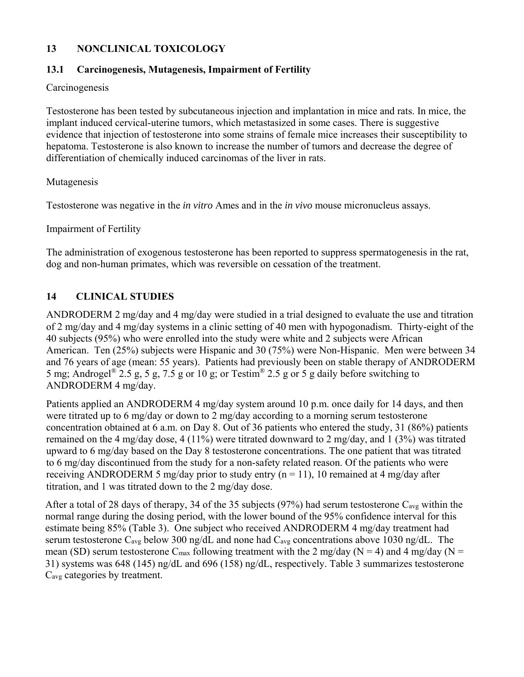### **13 NONCLINICAL TOXICOLOGY**

### **13.1 Carcinogenesis, Mutagenesis, Impairment of Fertility**

#### Carcinogenesis

Testosterone has been tested by subcutaneous injection and implantation in mice and rats. In mice, the implant induced cervical-uterine tumors, which metastasized in some cases. There is suggestive evidence that injection of testosterone into some strains of female mice increases their susceptibility to hepatoma. Testosterone is also known to increase the number of tumors and decrease the degree of differentiation of chemically induced carcinomas of the liver in rats.

### Mutagenesis

Testosterone was negative in the *in vitro* Ames and in the *in vivo* mouse micronucleus assays.

### Impairment of Fertility

The administration of exogenous testosterone has been reported to suppress spermatogenesis in the rat, dog and non-human primates, which was reversible on cessation of the treatment.

## **14 CLINICAL STUDIES**

ANDRODERM 2 mg/day and 4 mg/day were studied in a trial designed to evaluate the use and titration of 2 mg/day and 4 mg/day systems in a clinic setting of 40 men with hypogonadism. Thirty-eight of the 40 subjects (95%) who were enrolled into the study were white and 2 subjects were African American. Ten (25%) subjects were Hispanic and 30 (75%) were Non-Hispanic. Men were between 34 and 76 years of age (mean: 55 years). Patients had previously been on stable therapy of ANDRODERM 5 mg; Androgel<sup>®</sup> 2.5 g, 5 g, 7.5 g or 10 g; or Testim<sup>®</sup> 2.5 g or 5 g daily before switching to ANDRODERM 4 mg/day.

Patients applied an ANDRODERM 4 mg/day system around 10 p.m. once daily for 14 days, and then were titrated up to 6 mg/day or down to 2 mg/day according to a morning serum testosterone concentration obtained at 6 a.m. on Day 8. Out of 36 patients who entered the study, 31 (86%) patients remained on the 4 mg/day dose, 4 (11%) were titrated downward to 2 mg/day, and 1 (3%) was titrated upward to 6 mg/day based on the Day 8 testosterone concentrations. The one patient that was titrated to 6 mg/day discontinued from the study for a non-safety related reason. Of the patients who were receiving ANDRODERM 5 mg/day prior to study entry  $(n = 11)$ , 10 remained at 4 mg/day after titration, and 1 was titrated down to the 2 mg/day dose.

After a total of 28 days of therapy, 34 of the 35 subjects (97%) had serum testosterone  $C_{\text{avg}}$  within the normal range during the dosing period, with the lower bound of the 95% confidence interval for this estimate being 85% (Table 3). One subject who received ANDRODERM 4 mg/day treatment had serum testosterone C<sub>avg</sub> below 300 ng/dL and none had C<sub>avg</sub> concentrations above 1030 ng/dL. The mean (SD) serum testosterone C<sub>max</sub> following treatment with the 2 mg/day (N = 4) and 4 mg/day (N = 31) systems was 648 (145) ng/dL and 696 (158) ng/dL, respectively. Table 3 summarizes testosterone Cavg categories by treatment.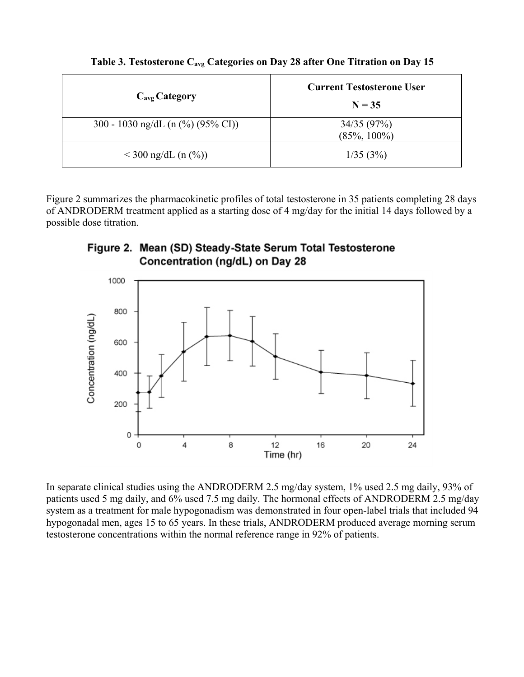| $C_{\text{avg}}$ Category                        | <b>Current Testosterone User</b><br>$N = 35$ |
|--------------------------------------------------|----------------------------------------------|
| 300 - 1030 ng/dL (n $\left(\% \right)$ (95% CI)) | 34/35(97%)<br>$(85\%, 100\%)$                |
| $<$ 300 ng/dL (n $(\%)$ )                        | 1/35(3%)                                     |

Table 3. Testosterone C<sub>avg</sub> Categories on Day 28 after One Titration on Day 15

Figure 2 summarizes the pharmacokinetic profiles of total testosterone in 35 patients completing 28 days of ANDRODERM treatment applied as a starting dose of 4 mg/day for the initial 14 days followed by a possible dose titration.





In separate clinical studies using the ANDRODERM 2.5 mg/day system, 1% used 2.5 mg daily, 93% of patients used 5 mg daily, and 6% used 7.5 mg daily. The hormonal effects of ANDRODERM 2.5 mg/day system as a treatment for male hypogonadism was demonstrated in four open-label trials that included 94 hypogonadal men, ages 15 to 65 years. In these trials, ANDRODERM produced average morning serum testosterone concentrations within the normal reference range in 92% of patients.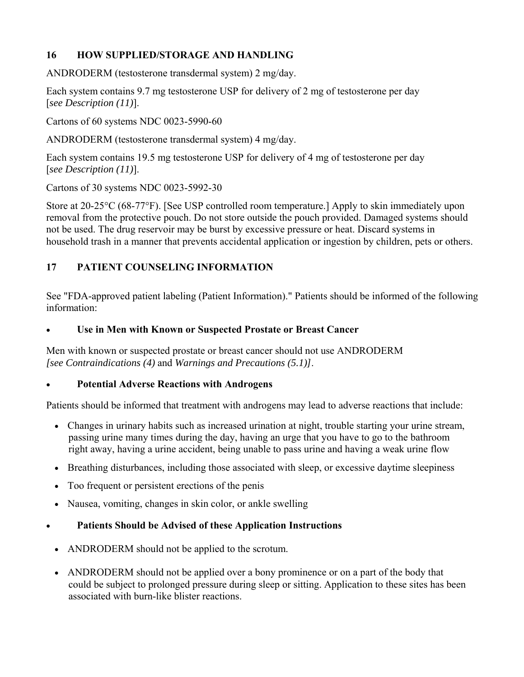## **16 HOW SUPPLIED/STORAGE AND HANDLING**

ANDRODERM (testosterone transdermal system) 2 mg/day.

Each system contains 9.7 mg testosterone USP for delivery of 2 mg of testosterone per day [*see Description (11)*].

Cartons of 60 systems NDC 0023-5990-60

ANDRODERM (testosterone transdermal system) 4 mg/day.

Each system contains 19.5 mg testosterone USP for delivery of 4 mg of testosterone per day [*see Description (11)*].

Cartons of 30 systems NDC 0023-5992-30

Store at 20-25°C (68-77°F). [See USP controlled room temperature.] Apply to skin immediately upon removal from the protective pouch. Do not store outside the pouch provided. Damaged systems should not be used. The drug reservoir may be burst by excessive pressure or heat. Discard systems in household trash in a manner that prevents accidental application or ingestion by children, pets or others.

## **17 PATIENT COUNSELING INFORMATION**

See "FDA-approved patient labeling (Patient Information)." Patients should be informed of the following information:

#### **Use in Men with Known or Suspected Prostate or Breast Cancer**

Men with known or suspected prostate or breast cancer should not use ANDRODERM *[see Contraindications (4)* and *Warnings and Precautions (5.1)]*.

### **Potential Adverse Reactions with Androgens**

Patients should be informed that treatment with androgens may lead to adverse reactions that include:

- Changes in urinary habits such as increased urination at night, trouble starting your urine stream, passing urine many times during the day, having an urge that you have to go to the bathroom right away, having a urine accident, being unable to pass urine and having a weak urine flow
- Breathing disturbances, including those associated with sleep, or excessive daytime sleepiness
- Too frequent or persistent erections of the penis
- Nausea, vomiting, changes in skin color, or ankle swelling

### **Patients Should be Advised of these Application Instructions**

- ANDRODERM should not be applied to the scrotum.
- ANDRODERM should not be applied over a bony prominence or on a part of the body that could be subject to prolonged pressure during sleep or sitting. Application to these sites has been associated with burn-like blister reactions.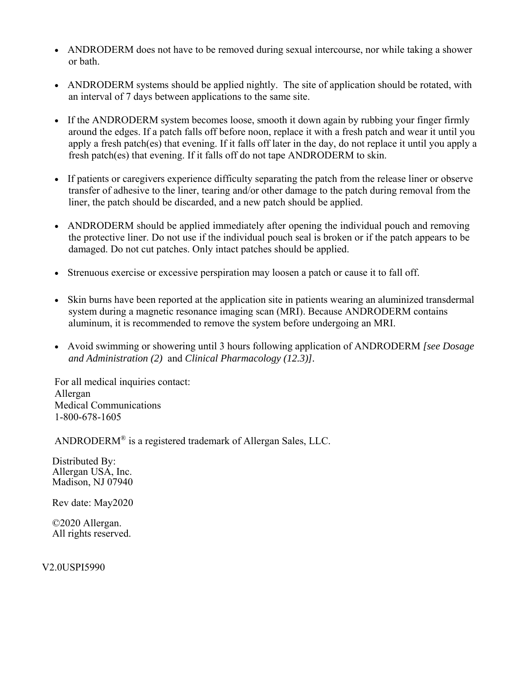- ANDRODERM does not have to be removed during sexual intercourse, nor while taking a shower or bath.
- ANDRODERM systems should be applied nightly. The site of application should be rotated, with an interval of 7 days between applications to the same site.
- If the ANDRODERM system becomes loose, smooth it down again by rubbing your finger firmly around the edges. If a patch falls off before noon, replace it with a fresh patch and wear it until you apply a fresh patch(es) that evening. If it falls off later in the day, do not replace it until you apply a fresh patch(es) that evening. If it falls off do not tape ANDRODERM to skin.
- If patients or caregivers experience difficulty separating the patch from the release liner or observe transfer of adhesive to the liner, tearing and/or other damage to the patch during removal from the liner, the patch should be discarded, and a new patch should be applied.
- ANDRODERM should be applied immediately after opening the individual pouch and removing the protective liner. Do not use if the individual pouch seal is broken or if the patch appears to be damaged. Do not cut patches. Only intact patches should be applied.
- Strenuous exercise or excessive perspiration may loosen a patch or cause it to fall off.
- Skin burns have been reported at the application site in patients wearing an aluminized transdermal system during a magnetic resonance imaging scan (MRI). Because ANDRODERM contains aluminum, it is recommended to remove the system before undergoing an MRI.
- Avoid swimming or showering until 3 hours following application of ANDRODERM *[see Dosage and Administration (2)* and *Clinical Pharmacology (12.3)].*

For all medical inquiries contact: Allergan Medical Communications 1-800-678-1605

ANDRODERM® is a registered trademark of Allergan Sales, LLC.

 Distributed By: Allergan USA, Inc. Madison, NJ 07940

Rev date: May2020

 ©2020 Allergan. All rights reserved.

V2.0USPI5990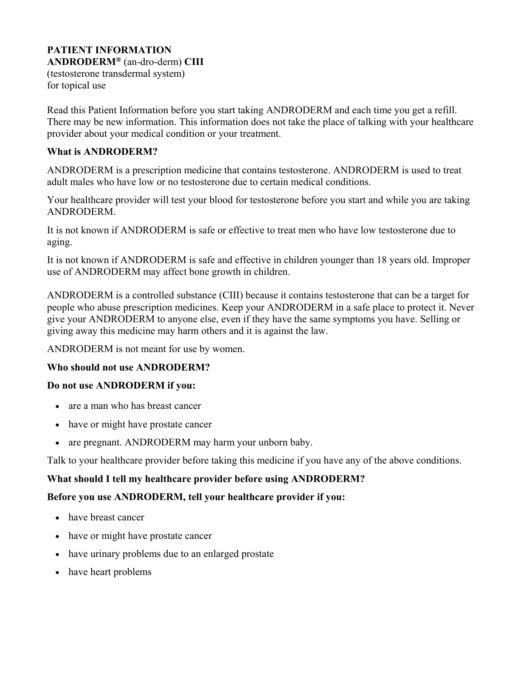# **PATIENT INFORMATION**

**ANDRODERM®** (an-dro-derm) **CIII**  (testosterone transdermal system)

for topical use

Read this Patient Information before you start taking ANDRODERM and each time you get a refill. There may be new information. This information does not take the place of talking with your healthcare provider about your medical condition or your treatment.

### **What is ANDRODERM?**

ANDRODERM is a prescription medicine that contains testosterone. ANDRODERM is used to treat adult males who have low or no testosterone due to certain medical conditions.

Your healthcare provider will test your blood for testosterone before you start and while you are taking ANDRODERM.

It is not known if ANDRODERM is safe or effective to treat men who have low testosterone due to aging.

It is not known if ANDRODERM is safe and effective in children younger than 18 years old. Improper use of ANDRODERM may affect bone growth in children.

ANDRODERM is a controlled substance (CIII) because it contains testosterone that can be a target for people who abuse prescription medicines. Keep your ANDRODERM in a safe place to protect it. Never give your ANDRODERM to anyone else, even if they have the same symptoms you have. Selling or giving away this medicine may harm others and it is against the law.

ANDRODERM is not meant for use by women.

### **Who should not use ANDRODERM?**

### **Do not use ANDRODERM if you:**

- are a man who has breast cancer
- have or might have prostate cancer
- are pregnant. ANDRODERM may harm your unborn baby.

Talk to your healthcare provider before taking this medicine if you have any of the above conditions.

## **What should I tell my healthcare provider before using ANDRODERM?**

## **Before you use ANDRODERM, tell your healthcare provider if you:**

- have breast cancer
- have or might have prostate cancer
- have urinary problems due to an enlarged prostate
- have heart problems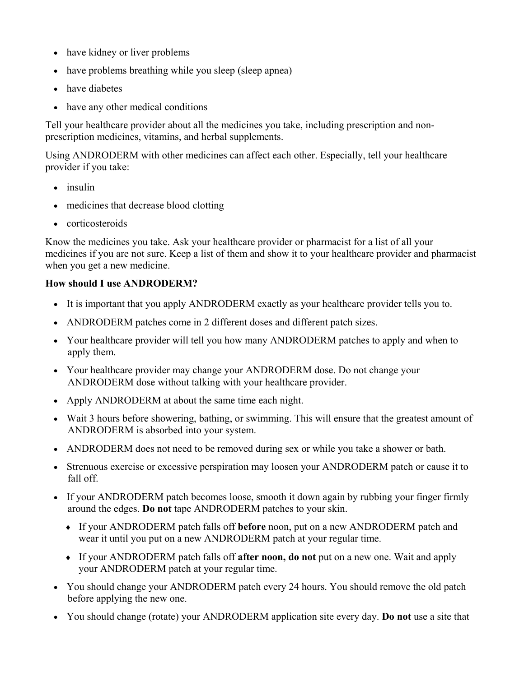- have kidney or liver problems
- have problems breathing while you sleep (sleep apnea)
- have diabetes
- have any other medical conditions

Tell your healthcare provider about all the medicines you take, including prescription and nonprescription medicines, vitamins, and herbal supplements.

Using ANDRODERM with other medicines can affect each other. Especially, tell your healthcare provider if you take:

- insulin
- medicines that decrease blood clotting
- corticosteroids

Know the medicines you take. Ask your healthcare provider or pharmacist for a list of all your medicines if you are not sure. Keep a list of them and show it to your healthcare provider and pharmacist when you get a new medicine.

## **How should I use ANDRODERM?**

- It is important that you apply ANDRODERM exactly as your healthcare provider tells you to.
- ANDRODERM patches come in 2 different doses and different patch sizes.
- Your healthcare provider will tell you how many ANDRODERM patches to apply and when to apply them.
- Your healthcare provider may change your ANDRODERM dose. Do not change your ANDRODERM dose without talking with your healthcare provider.
- Apply ANDRODERM at about the same time each night.
- Wait 3 hours before showering, bathing, or swimming. This will ensure that the greatest amount of ANDRODERM is absorbed into your system.
- ANDRODERM does not need to be removed during sex or while you take a shower or bath.
- Strenuous exercise or excessive perspiration may loosen your ANDRODERM patch or cause it to fall off.
- If your ANDRODERM patch becomes loose, smooth it down again by rubbing your finger firmly around the edges. **Do not** tape ANDRODERM patches to your skin.
	- If your ANDRODERM patch falls off **before** noon, put on a new ANDRODERM patch and wear it until you put on a new ANDRODERM patch at your regular time.
	- If your ANDRODERM patch falls off **after noon, do not** put on a new one. Wait and apply your ANDRODERM patch at your regular time.
- You should change your ANDRODERM patch every 24 hours. You should remove the old patch before applying the new one.
- You should change (rotate) your ANDRODERM application site every day. **Do not** use a site that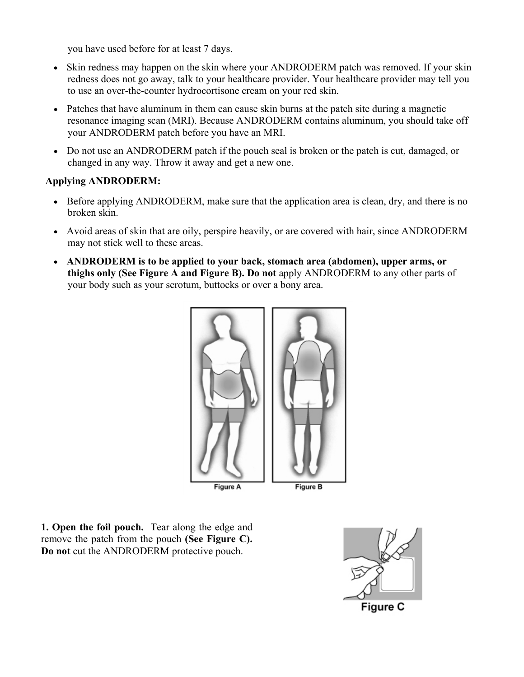you have used before for at least 7 days.

- Skin redness may happen on the skin where your ANDRODERM patch was removed. If your skin redness does not go away, talk to your healthcare provider. Your healthcare provider may tell you to use an over-the-counter hydrocortisone cream on your red skin.
- Patches that have aluminum in them can cause skin burns at the patch site during a magnetic resonance imaging scan (MRI). Because ANDRODERM contains aluminum, you should take off your ANDRODERM patch before you have an MRI.
- Do not use an ANDRODERM patch if the pouch seal is broken or the patch is cut, damaged, or changed in any way. Throw it away and get a new one.

## **Applying ANDRODERM:**

- Before applying ANDRODERM, make sure that the application area is clean, dry, and there is no broken skin.
- Avoid areas of skin that are oily, perspire heavily, or are covered with hair, since ANDRODERM may not stick well to these areas.
- **ANDRODERM is to be applied to your back, stomach area (abdomen), upper arms, or thighs only (See Figure A and Figure B). Do not** apply ANDRODERM to any other parts of your body such as your scrotum, buttocks or over a bony area.



**1. Open the foil pouch.** Tear along the edge and remove the patch from the pouch **(See Figure C). Do not** cut the ANDRODERM protective pouch.

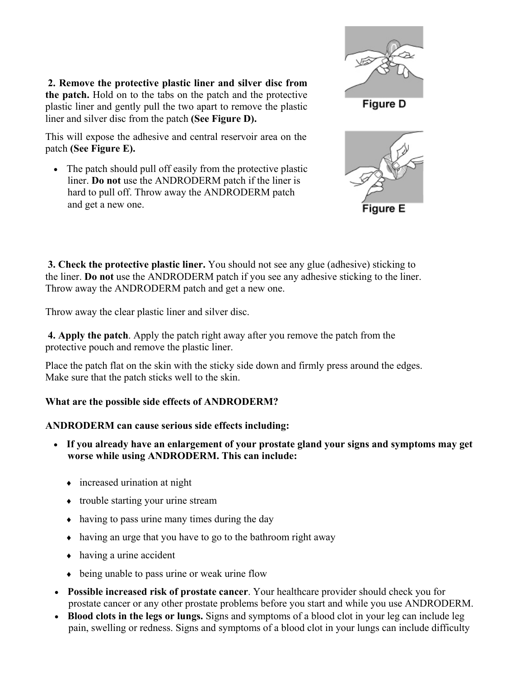**2. Remove the protective plastic liner and silver disc from the patch.** Hold on to the tabs on the patch and the protective plastic liner and gently pull the two apart to remove the plastic liner and silver disc from the patch **(See Figure D).**

This will expose the adhesive and central reservoir area on the patch **(See Figure E).**

• The patch should pull off easily from the protective plastic liner. **Do not** use the ANDRODERM patch if the liner is hard to pull off. Throw away the ANDRODERM patch and get a new one.





**3. Check the protective plastic liner.** You should not see any glue (adhesive) sticking to the liner. **Do not** use the ANDRODERM patch if you see any adhesive sticking to the liner. Throw away the ANDRODERM patch and get a new one.

Throw away the clear plastic liner and silver disc.

**4. Apply the patch**. Apply the patch right away after you remove the patch from the protective pouch and remove the plastic liner.

Place the patch flat on the skin with the sticky side down and firmly press around the edges. Make sure that the patch sticks well to the skin.

# **What are the possible side effects of ANDRODERM?**

# **ANDRODERM can cause serious side effects including:**

- **If you already have an enlargement of your prostate gland your signs and symptoms may get worse while using ANDRODERM. This can include:**
	- increased urination at night
	- trouble starting your urine stream
	- having to pass urine many times during the day
	- $\bullet$  having an urge that you have to go to the bathroom right away
	- having a urine accident
	- being unable to pass urine or weak urine flow
- **Possible increased risk of prostate cancer**. Your healthcare provider should check you for prostate cancer or any other prostate problems before you start and while you use ANDRODERM.
- Blood clots in the legs or lungs. Signs and symptoms of a blood clot in your leg can include leg pain, swelling or redness. Signs and symptoms of a blood clot in your lungs can include difficulty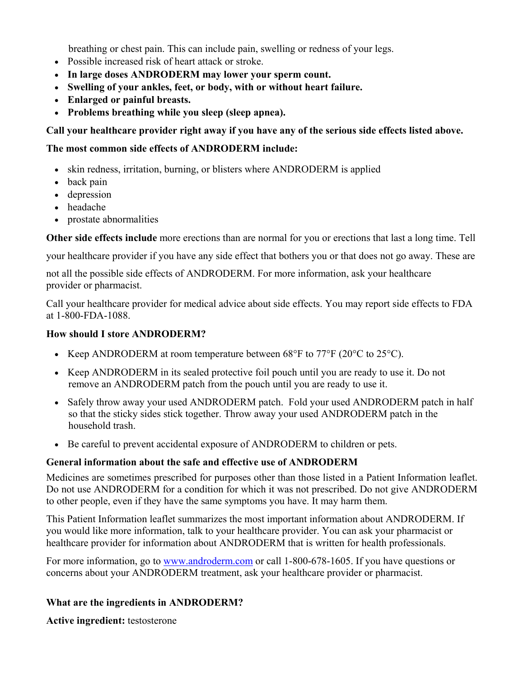breathing or chest pain. This can include pain, swelling or redness of your legs.

- Possible increased risk of heart attack or stroke.
- **In large doses ANDRODERM may lower your sperm count.**
- **Swelling of your ankles, feet, or body, with or without heart failure.**
- **Enlarged or painful breasts.**
- **Problems breathing while you sleep (sleep apnea).**

**Call your healthcare provider right away if you have any of the serious side effects listed above.** 

#### **The most common side effects of ANDRODERM include:**

- skin redness, irritation, burning, or blisters where ANDRODERM is applied
- back pain
- depression
- headache
- prostate abnormalities

**Other side effects include** more erections than are normal for you or erections that last a long time. Tell

your healthcare provider if you have any side effect that bothers you or that does not go away. These are

not all the possible side effects of ANDRODERM. For more information, ask your healthcare provider or pharmacist.

Call your healthcare provider for medical advice about side effects. You may report side effects to FDA at 1-800-FDA-1088.

#### **How should I store ANDRODERM?**

- Exerp ANDRODERM at room temperature between 68 $\degree$ F to 77 $\degree$ F (20 $\degree$ C to 25 $\degree$ C).
- Keep ANDRODERM in its sealed protective foil pouch until you are ready to use it. Do not remove an ANDRODERM patch from the pouch until you are ready to use it.
- Safely throw away your used ANDRODERM patch. Fold your used ANDRODERM patch in half so that the sticky sides stick together. Throw away your used ANDRODERM patch in the household trash.
- Be careful to prevent accidental exposure of ANDRODERM to children or pets.

#### **General information about the safe and effective use of ANDRODERM**

Medicines are sometimes prescribed for purposes other than those listed in a Patient Information leaflet. Do not use ANDRODERM for a condition for which it was not prescribed. Do not give ANDRODERM to other people, even if they have the same symptoms you have. It may harm them.

This Patient Information leaflet summarizes the most important information about ANDRODERM. If you would like more information, talk to your healthcare provider. You can ask your pharmacist or healthcare provider for information about ANDRODERM that is written for health professionals.

For more information, go to www.androderm.com or call 1-800-678-1605. If you have questions or concerns about your ANDRODERM treatment, ask your healthcare provider or pharmacist.

### **What are the ingredients in ANDRODERM?**

**Active ingredient:** testosterone